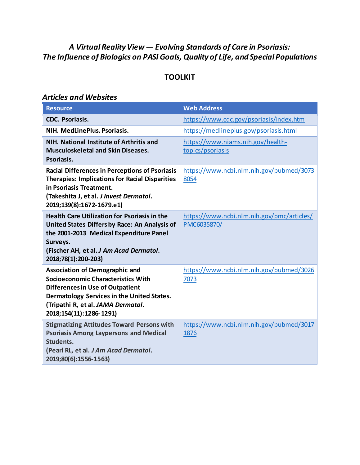### *A Virtual Reality View — Evolving Standards of Care in Psoriasis: The Influence of Biologics on PASI Goals, Quality of Life, and Special Populations*

### **TOOLKIT**

#### *Articles and Websites*

| <b>Resource</b>                                                                                                                                                                                                                       | <b>Web Address</b>                                        |
|---------------------------------------------------------------------------------------------------------------------------------------------------------------------------------------------------------------------------------------|-----------------------------------------------------------|
| <b>CDC. Psoriasis.</b>                                                                                                                                                                                                                | https://www.cdc.gov/psoriasis/index.htm                   |
| NIH. MedLinePlus. Psoriasis.                                                                                                                                                                                                          | https://medlineplus.gov/psoriasis.html                    |
| NIH. National Institute of Arthritis and<br><b>Musculoskeletal and Skin Diseases.</b><br>Psoriasis.                                                                                                                                   | https://www.niams.nih.gov/health-<br>topics/psoriasis     |
| <b>Racial Differences in Perceptions of Psoriasis</b><br><b>Therapies: Implications for Racial Disparities</b><br>in Psoriasis Treatment.<br>(Takeshita J, et al. J Invest Dermatol.<br>2019;139(8):1672-1679.e1)                     | https://www.ncbi.nlm.nih.gov/pubmed/3073<br>8054          |
| <b>Health Care Utilization for Psoriasis in the</b><br>United States Differs by Race: An Analysis of<br>the 2001-2013 Medical Expenditure Panel<br>Surveys.<br>(Fischer AH, et al. J Am Acad Dermatol.<br>2018;78(1):200-203)         | https://www.ncbi.nlm.nih.gov/pmc/articles/<br>PMC6035870/ |
| <b>Association of Demographic and</b><br>Socioeconomic Characteristics With<br><b>Differences in Use of Outpatient</b><br>Dermatology Services in the United States.<br>(Tripathi R, et al. JAMA Dermatol.<br>2018;154(11):1286-1291) | https://www.ncbi.nlm.nih.gov/pubmed/3026<br>7073          |
| <b>Stigmatizing Attitudes Toward Persons with</b><br><b>Psoriasis Among Laypersons and Medical</b><br>Students.<br>(Pearl RL, et al. J Am Acad Dermatol.<br>2019;80(6):1556-1563)                                                     | https://www.ncbi.nlm.nih.gov/pubmed/3017<br>1876          |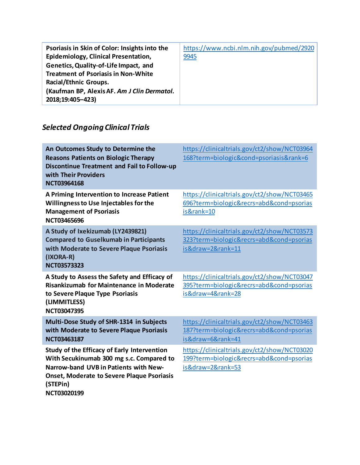| Psoriasis in Skin of Color: Insights into the | https://www.ncbi.nlm.nih.gov/pubmed/2920 |
|-----------------------------------------------|------------------------------------------|
| Epidemiology, Clinical Presentation,          | 9945                                     |
| Genetics, Quality-of-Life Impact, and         |                                          |
| <b>Treatment of Psoriasis in Non-White</b>    |                                          |
| <b>Racial/Ethnic Groups.</b>                  |                                          |
| (Kaufman BP, Alexis AF. Am J Clin Dermatol.   |                                          |
| 2018;19:405-423)                              |                                          |

# *Selected Ongoing Clinical Trials*

| An Outcomes Study to Determine the<br><b>Reasons Patients on Biologic Therapy</b><br><b>Discontinue Treatment and Fail to Follow-up</b><br>with Their Providers<br><b>NCT03964168</b>                            | https://clinicaltrials.gov/ct2/show/NCT03964<br>168?term=biologic&cond=psoriasis&rank=6                       |
|------------------------------------------------------------------------------------------------------------------------------------------------------------------------------------------------------------------|---------------------------------------------------------------------------------------------------------------|
| A Priming Intervention to Increase Patient<br>Willingness to Use Injectables for the<br><b>Management of Psoriasis</b><br><b>NCT03465696</b>                                                                     | https://clinicaltrials.gov/ct2/show/NCT03465<br>696?term=biologic&recrs=abd&cond=psorias<br>is&rank=10        |
| A Study of Ixekizumab (LY2439821)<br><b>Compared to Guselkumab in Participants</b><br>with Moderate to Severe Plaque Psoriasis<br>(IXORA-R)<br><b>NCT03573323</b>                                                | https://clinicaltrials.gov/ct2/show/NCT03573<br>323?term=biologic&recrs=abd&cond=psorias<br>is&draw=2&rank=11 |
| A Study to Assess the Safety and Efficacy of<br><b>Risankizumab for Maintenance in Moderate</b><br>to Severe Plaque Type Psoriasis<br>(LIMMITLESS)<br>NCT03047395                                                | https://clinicaltrials.gov/ct2/show/NCT03047<br>395?term=biologic&recrs=abd&cond=psorias<br>is&draw=4&rank=28 |
| Multi-Dose Study of SHR-1314 in Subjects<br>with Moderate to Severe Plaque Psoriasis<br><b>NCT03463187</b>                                                                                                       | https://clinicaltrials.gov/ct2/show/NCT03463<br>187?term=biologic&recrs=abd&cond=psorias<br>is&draw=6&rank=41 |
| Study of the Efficacy of Early Intervention<br>With Secukinumab 300 mg s.c. Compared to<br>Narrow-band UVB in Patients with New-<br><b>Onset, Moderate to Severe Plaque Psoriasis</b><br>(STEPin)<br>NCT03020199 | https://clinicaltrials.gov/ct2/show/NCT03020<br>199?term=biologic&recrs=abd&cond=psorias<br>is&draw=2&rank=53 |